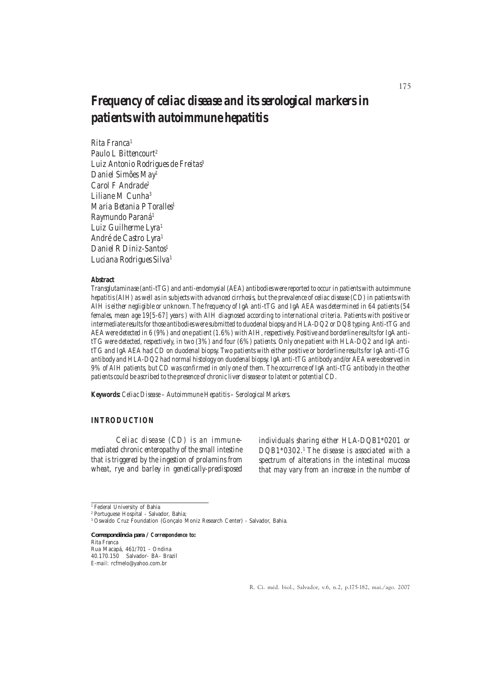# *Frequency of celiac disease and its serological markers in patients with autoimmune hepatitis*

*Rita Franca1 Paulo L Bittencourt2 Luiz Antonio Rodrigues de Freitas3 Daniel Simões May1 Carol F Andrade1 Liliane M Cunha3 Maria Betania P Toralles1 Raymundo Paraná1 Luiz Guilherme Lyra1 André de Castro Lyra1 Daniel R Diniz-Santos1 Luciana Rodrigues Silva1*

#### *Abstract*

*Transglutaminase (anti-tTG) and anti-endomysial (AEA) antibodies were reported to occur in patients with autoimmune hepatitis (AIH) as well as in subjects with advanced cirrhosis, but the prevalence of celiac disease (CD) in patients with AIH is either negligible or unknown. The frequency of IgA anti-tTG and IgA AEA was determined in 64 patients (54 females, mean age 19[5-67] years ) with AIH diagnosed according to international criteria. Patients with positive or intermediate results for those antibodies were submitted to duodenal biopsy and HLA-DQ2 or DQ8 typing. Anti-tTG and AEA were detected in 6 (9%) and one patient (1.6%) with AIH, respectively. Positive and borderline results for IgA antitTG were detected, respectively, in two (3%) and four (6%) patients. Only one patient with HLA-DQ2 and IgA antitTG and IgA AEA had CD on duodenal biopsy. Two patients with either positive or borderline results for IgA anti-tTG antibody and HLA-DQ2 had normal histology on duodenal biopsy. IgA anti-tTG antibody and/or AEA were observed in 9% of AIH patients, but CD was confirmed in only one of them. The occurrence of IgA anti-tTG antibody in the other patients could be ascribed to the presence of chronic liver disease or to latent or potential CD.*

*Keywords: Celiac Disease – Autoimmune Hepatitis – Serological Markers.*

#### *INTRODUCTION*

*Celiac disease (CD) is an immunemediated chronic enteropathy of the small intestine that is triggered by the ingestion of prolamins from wheat, rye and barley in genetically-predisposed* *individuals sharing either HLA-DQB1\*0201 or DQB1\*0302.1 The disease is associated with a spectrum of alterations in the intestinal mucosa that may vary from an increase in the number of*

<sup>1</sup> Federal University of Bahia

*Correspondência para / Correspondence to:* Rita Franca Rua Macapá, 461/701 - Ondina 40.170.150 Salvador- BA- Brazil *E-mail*: rcfmelo@yahoo.com.br

R. Ci. méd. biol., Salvador, v.6, n.2, p.175-182, mai./ago. 2007

<sup>2</sup> Portuguese Hospital - Salvador, Bahia;

<sup>3</sup> Oswaldo Cruz Foundation (Gonçalo Moniz Research Center) - Salvador, Bahia.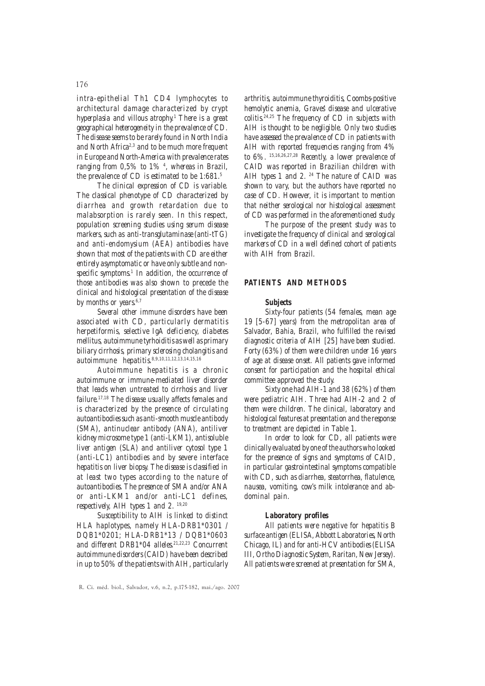#### 176

*intra-epithelial Th1 CD4 lymphocytes to architectural damage characterized by crypt hyperplasia and villous atrophy.1 There is a great geographical heterogeneity in the prevalence of CD. The disease seems to be rarely found in North India and North Africa2,3 and to be much more frequent in Europe and North-America with prevalence rates ranging from 0,5% to 1% 4 , whereas in Brazil, the prevalence of CD is estimated to be 1:681.5*

*The clinical expression of CD is variable. The classical phenotype of CD characterized by diarrhea and growth retardation due to malabsorption is rarely seen. In this respect, population screening studies using serum disease markers, such as anti-transglutaminase (anti-tTG) and anti-endomysium (AEA) antibodies have shown that most of the patients with CD are either entirely asymptomatic or have only subtle and nonspecific symptoms.1 In addition, the occurrence of those antibodies was also shown to precede the clinical and histological presentation of the disease* by months or years<sup>6,7</sup>

*Several other immune disorders have been associated with CD, particularly dermatitis herpetiformis, selective IgA deficiency, diabetes mellitus, autoimmune tyrhoiditis as well as primary biliary cirrhosis, primary sclerosing cholangitis and autoimmune hepatitis.8,9,10,11,12,13,14,15,16*

*Autoimmune hepatitis is a chronic autoimmune or immune-mediated liver disorder that leads when untreated to cirrhosis and liver failure.17,18 The disease usually affects females and is characterized by the presence of circulating autoantibodies such as anti-smooth muscle antibody (SMA), antinuclear antibody (ANA), antiliver kidney microsome type 1 (anti-LKM1), antisoluble liver antigen (SLA) and antiliver cytosol type 1 (anti-LC1) antibodies and by severe interface hepatitis on liver biopsy. The disease is classified in at least two types according to the nature of autoantibodies. The presence of SMA and/or ANA or anti-LKM1 and/or anti-LC1 defines, respectively, AIH types 1 and 2. 19,20*

*Susceptibility to AIH is linked to distinct HLA haplotypes, namely HLA-DRB1\*0301 / DQB1\*0201; HLA-DRB1\*13 / DQB1\*0603* and different DRB1\*04 alleles<sup>21,22,23</sup> Concurrent *autoimmune disorders (CAID) have been described in up to 50% of the patients with AIH, particularly* *arthritis, autoimmune thyroiditis, Coombs-positive hemolytic anemia, Graves' disease and ulcerative colitis.24,25 The frequency of CD in subjects with AIH is thought to be negligible. Only two studies have assessed the prevalence of CD in patients with AIH with reported frequencies ranging from 4% to 6%. 15,16,26,27,28 Recently, a lower prevalence of CAID was reported in Brazilian children with AIH types 1 and 2. 24 The nature of CAID was shown to vary, but the authors have reported no case of CD. However, it is important to mention that neither serological nor histological assessment of CD was performed in the aforementioned study.*

*The purpose of the present study was to investigate the frequency of clinical and serological markers of CD in a well defined cohort of patients with AIH from Brazil.*

#### *PATIENTS AND METHODS*

#### *Subjects*

*Sixty-four patients (54 females, mean age 19 [5-67] years) from the metropolitan area of Salvador, Bahia, Brazil, who fulfilled the revised diagnostic criteria of AIH [25] have been studied. Forty (63%) of them were children under 16 years of age at disease onset. All patients gave informed consent for participation and the hospital ethical committee approved the study.*

*Sixty one had AIH-1 and 38 (62%) of them were pediatric AIH. Three had AIH-2 and 2 of them were children. The clinical, laboratory and histological features at presentation and the response to treatment are depicted in Table 1.*

*In order to look for CD, all patients were clinically evaluated by one of the authors who looked for the presence of signs and symptoms of CAID, in particular gastrointestinal symptoms compatible with CD, such as diarrhea, steatorrhea, flatulence, nausea, vomiting, cow's milk intolerance and abdominal pain.*

#### *Laboratory profiles*

*All patients were negative for hepatitis B surface antigen (ELISA, Abbott Laboratories, North Chicago, IL) and for anti-HCV antibodies (ELISA III, Ortho Diagnostic System, Raritan, New Jersey). All patients were screened at presentation for SMA,*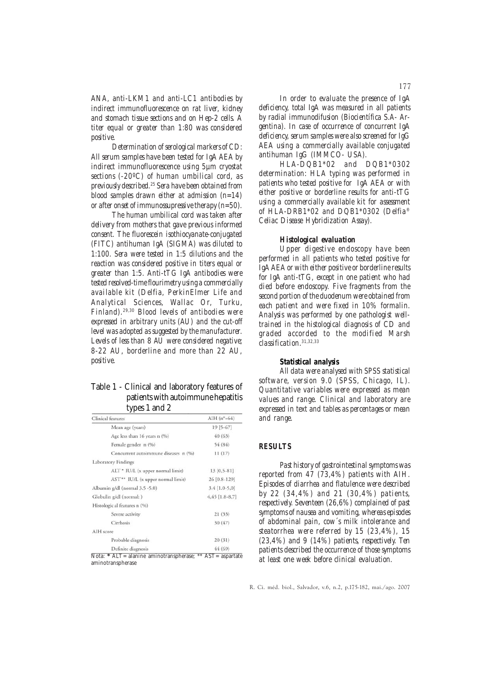*ANA, anti-LKM1 and anti-LC1 antibodies by indirect immunofluorescence on rat liver, kidney and stomach tissue sections and on Hep-2 cells. A titer equal or greater than 1:80 was considered positive.*

*Determination of serological markers of CD: All serum samples have been tested for IgA AEA by indirect immunofluorescence using 5µm cryostat sections (-20ºC) of human umbilical cord, as previously described.25 Sera have been obtained from blood samples drawn either at admission (n=14) or after onset of immunossupressive therapy (n=50).*

*The human umbilical cord was taken after delivery from mothers that gave previous informed consent. The fluorescein isothiocyanate-conjugated (FITC) antihuman IgA (SIGMA) was diluted to 1:100. Sera were tested in 1:5 dilutions and the reaction was considered positive in titers equal or greater than 1:5. Anti-tTG IgA antibodies were tested resolved-time flourimetry using a commercially available kit (Delfia, PerkinElmer Life and Analytical Sciences, Wallac Or, Turku, Finland).29,30 Blood levels of antibodies were expressed in arbitrary units (AU) and the cut-off level was adopted as suggested by the manufacturer. Levels of less than 8 AU were considered negative; 8-22 AU, borderline and more than 22 AU, positive.*

# Table 1 - Clinical and laboratory features of patients with autoimmune hepatitis types 1 and 2

| Clinical features                    | AIH $(n^{\circ} = 64)$ |  |  |
|--------------------------------------|------------------------|--|--|
| Mean age (years)                     | $19$ [5-67]            |  |  |
| Age less than 16 years n (%)         | 40 (63)                |  |  |
| Female gender n (%)                  | 54 (84)                |  |  |
| Concurrent autoimmune diseases n (%) | 11(17)                 |  |  |
| Laboratory Findings                  |                        |  |  |
| ALT * IU/L (x upper normal limit)    | $13[0,5-81]$           |  |  |
| AST** IU/L (x upper normal limit)    | 26 [0.8-129]           |  |  |
| Albumin g/dl (normal 3.5 -5.0)       | $3.4$ [1.0-5,0]        |  |  |
| Globulin g/dl (normal: )             | $4,45$ [1.8-8,7]       |  |  |
| Histologic al features n (%)         |                        |  |  |
| Severe activity                      | 21(33)                 |  |  |
| Cirrhosis                            | 30 (47)                |  |  |
| AIH score                            |                        |  |  |
| Probable diagnosis                   | 20(31)                 |  |  |
| Definite diagnosis                   | 44 (69)                |  |  |

 $=$  aspartate aminotranspherase

*In order to evaluate the presence of IgA deficiency, total IgA was measured in all patients by radial immunodifusion (Biocientífica S.A- Argentina). In case of occurrence of concurrent IgA deficiency, serum samples were also screened for IgG AEA using a commercially available conjugated antihuman IgG (IMMCO- USA).*

*HLA-DQB1\*02 and DQB1\*0302 determination: HLA typing was performed in patients who tested positive for IgA AEA or with either positive or borderline results for anti-tTG using a commercially available kit for assessment of HLA-DRB1\*02 and DQB1\*0302 (Delfia® Celiac Disease Hybridization Assay).*

#### *Histological evaluation*

*Upper digestive endoscopy have been performed in all patients who tested positive for IgA AEA or with either positive or borderline results for IgA anti-tTG, except in one patient who had died before endoscopy. Five fragments from the second portion of the duodenum were obtained from each patient and were fixed in 10% formalin. Analysis was performed by one pathologist welltrained in the histological diagnosis of CD and graded accorded to the modified Marsh classification.31,32,33*

#### *Statistical analysis*

*All data were analysed with SPSS statistical software, version 9.0 (SPSS, Chicago, IL). Quantitative variables were expressed as mean values and range. Clinical and laboratory are expressed in text and tables as percentages or mean and range.*

#### *RESULTS*

*Past history of gastrointestinal symptoms was reported from 47 (73,4%) patients with AIH. Episodes of diarrhea and flatulence were described by 22 (34,4%) and 21 (30,4%) patients, respectively. Seventeen (26,6%) complained of past symptoms of nausea and vomiting, whereas episodes of abdominal pain, cow´s milk intolerance and steatorrhea were referred by 15 (23,4%), 15 (23,4%) and 9 (14%) patients, respectively. Ten patients described the occurrence of those symptoms at least one week before clinical evaluation.*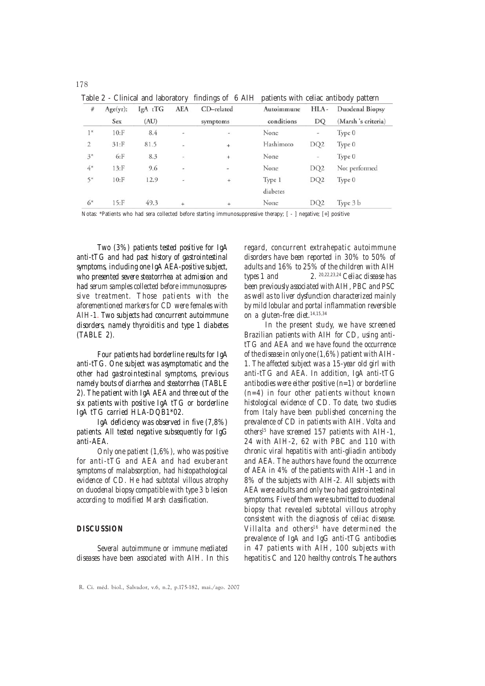Table 2 - Clinical and laboratory findings of 6 AIH patients with celiac antibody pattern

| $\#$           | Age(yr):<br>Sex | IgA tTG<br>(AU) | <b>AEA</b>              | CD-related<br>symptoms | Autoimmune<br>conditions | HLA-<br>DQ               | Duodenal Biopsy<br>(Marsh 's criteria) |
|----------------|-----------------|-----------------|-------------------------|------------------------|--------------------------|--------------------------|----------------------------------------|
|                |                 |                 |                         |                        |                          |                          |                                        |
| $\overline{2}$ | $31:$ F         | 81.5            | ÷                       | $\ddot{}$              | Hashimoto                | DQ <sub>2</sub>          | Type 0                                 |
| $3^*$          | $6:$ F          | 8.3             | $\overline{\mathbb{R}}$ | $\ddot{}$              | None                     | $\overline{\phantom{a}}$ | Type 0                                 |
| $4^\ast$       | $13:$ F         | 9.6             | u                       | ü                      | None                     | DQ <sub>2</sub>          | Not performed                          |
| $5*$           | $10:$ F         | 12.9            | $\sim$                  | $^{+}$                 | Type 1                   | DQ <sub>2</sub>          | Type 0                                 |
|                |                 |                 |                         |                        | diabetes                 |                          |                                        |
| $6*$           | $15:$ F         | 49.3            | $\ddot{+}$              | $\ddot{}$              | None                     | DQ <sub>2</sub>          | Type 3 b                               |

Notas: \*Patients who had sera collected before starting immunosuppressive therapy; [ - ] negative; [+] positive

*Two (3%) patients tested positive for IgA anti-tTG and had past history of gastrointestinal symptoms, including one IgA AEA-positive subject, who presented severe steatorrhea at admission and had serum samples collected before immunossupressive treatment. Those patients with the aforementioned markers for CD were females with AIH-1. Two subjects had concurrent autoimmune disorders, namely thyroiditis and type 1 diabetes (TABLE 2).*

*Four patients had borderline results for IgA anti-tTG. One subject was asymptomatic and the other had gastrointestinal symptoms, previous namely bouts of diarrhea and steatorrhea (TABLE 2). The patient with IgA AEA and three out of the six patients with positive IgA tTG or borderline IgA tTG carried HLA-DQB1\*02.*

*IgA deficiency was observed in five (7,8%) patients. All tested negative subsequently for IgG anti-AEA.*

*Only one patient (1,6%), who was positive for anti-tTG and AEA and had exuberant symptoms of malabsorption, had histopathological evidence of CD. He had subtotal villous atrophy on duodenal biopsy compatible with type 3 b lesion according to modified Marsh classification.*

### *DISCUSSION*

*Several autoimmune or immune mediated diseases have been associated with AIH. In this* *regard, concurrent extrahepatic autoimmune disorders have been reported in 30% to 50% of adults and 16% to 25% of the children with AIH types 1 and 2. 20,22,23,24 Celiac disease has been previously associated with AIH, PBC and PSC as well as to liver dysfunction characterized mainly by mild lobular and portal inflammation reversible on a gluten-free diet.14,15,34*

*In the present study, we have screened Brazilian patients with AIH for CD, using antitTG and AEA and we have found the occurrence of the disease in only one (1,6%) patient with AIH-1. The affected subject was a 15-year old girl with anti-tTG and AEA. In addition, IgA anti-tTG antibodies were either positive (n=1) or borderline (n=4) in four other patients without known histological evidence of CD. To date, two studies from Italy have been published concerning the prevalence of CD in patients with AIH. Volta and others15 have screened 157 patients with AIH-1, 24 with AIH-2, 62 with PBC and 110 with chronic viral hepatitis with anti-gliadin antibody and AEA. The authors have found the occurrence of AEA in 4% of the patients with AIH-1 and in 8% of the subjects with AIH-2. All subjects with AEA were adults and only two had gastrointestinal symptoms. Five of them were submitted to duodenal biopsy that revealed subtotal villous atrophy consistent with the diagnosis of celiac disease. Villalta and others 16 have determined the prevalence of IgA and IgG anti-tTG antibodies in 47 patients with AIH, 100 subjects with hepatitis C and 120 healthy controls. The authors*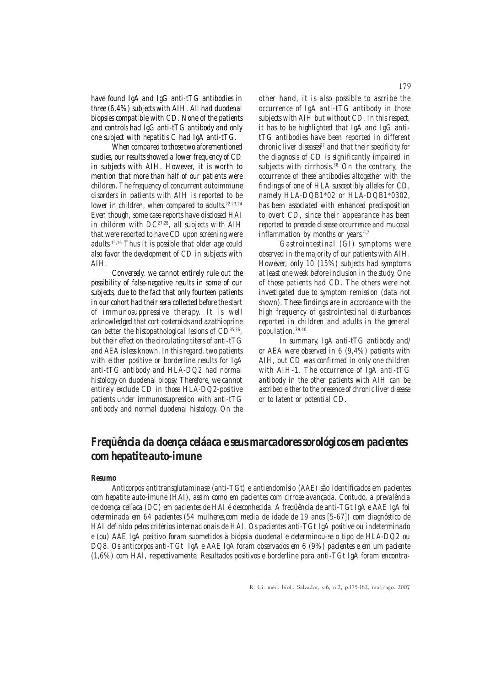*have found IgA and IgG anti-tTG antibodies in three (6.4%) subjects with AIH. All had duodenal biopsies compatible with CD. None of the patients and controls had IgG anti-tTG antibody and only one subject with hepatitis C had IgA anti-tTG.*

*When compared to those two aforementioned studies, our results showed a lower frequency of CD in subjects with AIH. However, it is worth to mention that more than half of our patients were children. The frequency of concurrent autoimmune disorders in patients with AIH is reported to be lower in children, when compared to adults.22,23,24 Even though, some case reports have disclosed HAI in children with DC27,28, all subjects with AIH that were reported to have CD upon screening were adults.15,16 Thus it is possible that older age could also favor the development of CD in subjects with AIH.*

*Conversely, we cannot entirely rule out the possibility of false-negative results in some of our subjects, due to the fact that only fourteen patients in our cohort had their sera collected before the start of immunosuppressive therapy. It is well acknowledged that corticosteroids and azathioprine can better the histopathological lesions of CD35,36, but their effect on the circulating titers of anti-tTG and AEA is less known. In this regard, two patients with either positive or borderline results for IgA anti-tTG antibody and HLA-DQ2 had normal histology on duodenal biopsy. Therefore, we cannot entirely exclude CD in those HLA-DQ2-positive patients under immunossupression with anti-tTG antibody and normal duodenal histology. On the*

*other hand, it is also possible to ascribe the occurrence of IgA anti-tTG antibody in those subjects with AIH but without CD. In this respect, it has to be highlighted that IgA and IgG antitTG antibodies have been reported in different chronic liver diseases<sup>37</sup> and that their specificity for the diagnosis of CD is significantly impaired in subjects with cirrhosis.38 On the contrary, the occurrence of these antibodies altogether with the findings of one of HLA susceptibly alleles for CD, namely HLA-DQB1\*02 or HLA-DQB1\*0302, has been associated with enhanced predisposition to overt CD, since their appearance has been reported to precede disease occurrence and mucosal inflammation by months or years*<sup>6,7</sup>

*Gastrointestinal (GI) symptoms were observed in the majority of our patients with AIH. However, only 10 (15%) subjects had symptoms at least one week before inclusion in the study. One of those patients had CD. The others were not investigated due to symptom remission (data not shown). These findings are in accordance with the high frequency of gastrointestinal disturbances reported in children and adults in the general population.39,40*

*In summary, IgA anti-tTG antibody and/ or AEA were observed in 6 (9,4%) patients with AIH, but CD was confirmed in only one children with AIH-1. The occurrence of IgA anti-tTG antibody in the other patients with AIH can be ascribed either to the presence of chronic liver disease or to latent or potential CD.*

# *Freqüência da doença celáaca e seus marcadores sorológicos em pacientes com hepatite auto-imune*

#### *Resumo*

*Anticorpos antitransglutaminase (anti-TGt) e antiendomísio (AAE) são identificados em pacientes com hepatite auto-imune (HAI), assim como em pacientes com cirrose avançada. Contudo, a prevalência de doença celíaca (DC) em pacientes de HAI é desconhecida. A freqüência de anti-TGt IgA e AAE IgA foi determinada em 64 pacientes (54 mulheres,com media de idade de 19 anos [5-67]) com diagnóstico de HAI definido pelos critérios internacionais de HAI. Os pacientes anti-TGt IgA positive ou indeterminado e (ou) AAE IgA positivo foram submetidos à biópsia duodenal e determinou-se o tipo de HLA-DQ2 ou DQ8. Os anticorpos anti-TGt IgA e AAE IgA foram observados em 6 (9%) pacientes e em um paciente (1,6%) com HAI, respectivamente. Resultados positivos e borderline para anti-TGt IgA foram encontra-*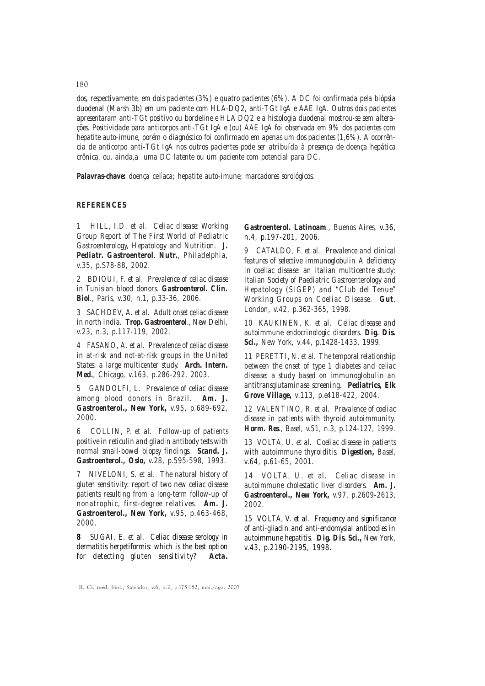*dos, respectivamente, em dois pacientes (3%) e quatro pacientes (6%). A DC foi confirmada pela biópsia duodenal (Marsh 3b) em um paciente com HLA-DQ2, anti-TGt IgA e AAE IgA. Outros dois pacientes apresentaram anti-TGt positivo ou bordeline e HLA DQ2 e a histologia duodenal mostrou-se sem alterações. Positividade para anticorpos anti-TGt IgA e (ou) AAE IgA foi observada em 9% dos pacientes com hepatite auto-imune, porém o diagnóstico foi confirmado em apenas um dos pacientes (1,6%). A ocorrência de anticorpo anti-TGt IgA nos outros pacientes pode ser atribuída à presença de doença hepática crônica, ou, ainda,a uma DC latente ou um paciente com potencial para DC.*

*Palavras-chave: doença celíaca; hepatite auto-imune; marcadores sorológicos.*

## *REFERENCES*

*1 HILL, I.D. et al. Celiac disease: Working Group Report of The First World of Pediatric Gastroenterology, Hepatology and Nutrition. J. Pediatr. Gastroenterol. Nutr., Philadelphia, v.35, p.S78-88, 2002.*

*2 BDIOUI, F. et al. Prevalence of celiac disease in Tunisian blood donors. Gastroenterol. Clin. Biol., Paris, v.30, n.1, p.33-36, 2006.*

*3 SACHDEV, A. et al. Adult onset celiac disease in north India. Trop. Gastroenterol., New Delhi, v.23, n.3, p.117-119, 2002.*

*4 FASANO, A. et al. Prevalence of celiac disease in at-risk and not-at-risk groups in the United States: a large multicenter study. Arch. Intern. Med., Chicago, v.163, p.286-292, 2003.*

*5 GANDOLFI, L. Prevalence of celiac disease among blood donors in Brazil. Am. J. Gastroenterol., New York, v.95, p.689-692, 2000.*

*6 COLLIN, P. et al. Follow-up of patients positive in reticulin and gliadin antibody tests with normal small-bowel biopsy findings. Scand. J. Gastroenterol., Oslo, v.28, p.595-598, 1993.*

*7 NIVELONI, S. et al. The natural history of gluten sensitivity: report of two new celiac disease patients resulting from a long-term follow-up of nonatrophic, first-degree relatives. Am. J. Gastroenterol., New York, v.95, p.463-468, 2000.*

*8 SUGAI, E. et al. Celiac disease serology in dermatitis herpetiformis: which is the best option for detecting gluten sensitivity? Acta.*

*Gastroenterol. Latinoam., Buenos Aires, v.36, n.4, p.197-201, 2006.*

*9 CATALDO, F. et al. Prevalence and clinical features of selective immunoglobulin A deficiency in coeliac disease: an Italian multicentre study: Italian Society of Paediatric Gastroenterology and Hepatology (SIGEP) and "Club del Tenue" Working Groups on Coeliac Disease. Gut, London, v.42, p.362-365, 1998.*

*10 KAUKINEN, K. et al. Celiac disease and autoimmune endocrinologic disorders. Dig. Dis. Sci., New York, v.44, p.1428-1433, 1999.*

*11 PERETTI, N. et al. The temporal relationship between the onset of type 1 diabetes and celiac disease: a study based on immunoglobulin an antitransglutaminase screening. Pediatrics, Elk Grove Village, v.113, p.e418-422, 2004.*

*12 VALENTINO, R. et al. Prevalence of coeliac disease in patients with thyroid autoimmunity. Horm. Res., Basel, v.51, n.3, p.124-127, 1999.*

*13 VOLTA, U. et al. Coeliac disease in patients with autoimmune thyroiditis. Digestion, Basel, v.64, p.61-65, 2001.*

*14 VOLTA, U. et al. Celiac disease in autoimmune cholestatic liver disorders. Am. J. Gastroenterol., New York, v.97, p.2609-2613, 2002.*

*15 VOLTA, V. et al. Frequency and significance of anti-gliadin and anti-endomysial antibodies in autoimmune hepatitis. Dig. Dis. Sci., New York, v.43, p.2190-2195, 1998.*

180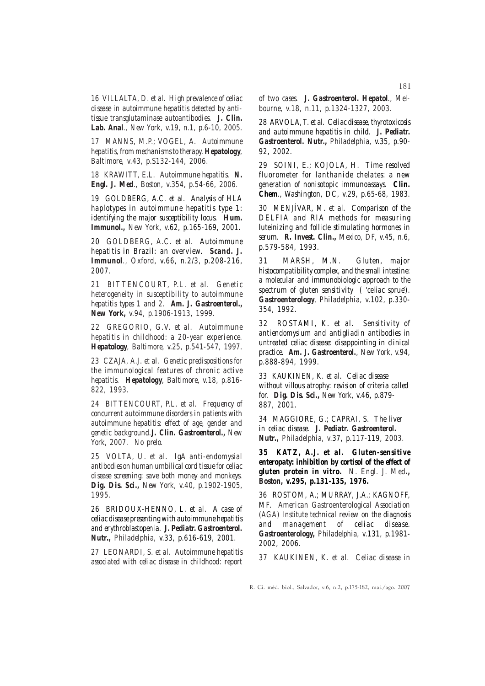*16 VILLALTA, D. et al. High prevalence of celiac disease in autoimmune hepatitis detected by antitissue transglutaminase autoantibodies. J. Clin. Lab. Anal., New York, v.19, n.1, p.6-10, 2005.*

*17 MANNS, M.P.; VOGEL, A. Autoimmune hepatitis, from mechanisms to therapy. Hepatology, Baltimore, v.43, p.S132-144, 2006.*

*18 KRAWITT, E.L. Autoimmune hepatitis. N. Engl. J. Med., Boston, v.354, p.54-66, 2006.*

*19 GOLDBERG, A.C. et al. Analysis of HLA haplotypes in autoimmune hepatitis type 1: identifying the major susceptibility locus. Hum. Immunol., New York, v.62, p.165-169, 2001.*

*20 GOLDBERG, A.C. et al. Autoimmune hepatitis in Brazil: an overview. Scand. J. Immunol., Oxford, v.66, n.2/3, p.208-216, 2007.*

*21 BITTENCOURT, P.L. et al. Genetic heterogeneity in susceptibility to autoimmune hepatitis types 1 and 2. Am. J. Gastroenterol., New York, v.94, p.1906-1913, 1999.*

*22 GREGORIO, G.V. et al. Autoimmune hepatitis in childhood: a 20-year experience. Hepatology, Baltimore, v.25, p.541-547, 1997.*

*23 CZAJA, A.J. et al. Genetic predispositions for the immunological features of chronic active hepatitis. Hepatology, Baltimore, v.18, p.816- 822, 1993.*

*24 BITTENCOURT, P.L. et al. Frequency of concurrent autoimmune disorders in patients with autoimmune hepatitis: effect of age, gender and genetic background.J. Clin. Gastroenterol., New York, 2007. No prelo.*

*25 VOLTA, U. et al. IgA anti-endomysial antibodies on human umbilical cord tissue for celiac disease screening: save both money and monkeys. Dig. Dis. Sci., New York, v.40, p.1902-1905, 1995.*

*26 BRIDOUX-HENNO, L. et al. A case of celiac disease presenting with autoimmune hepatitis and erythroblastopenia. J. Pediatr. Gastroenterol. Nutr., Philadelphia, v.33, p.616-619, 2001.*

*27 LEONARDI, S. et al. Autoimmune hepatitis associated with celiac disease in childhood: report*

*of two cases. J. Gastroenterol. Hepatol., Melbourne, v.18, n.11, p.1324-1327, 2003.*

*28 ARVOLA, T. et al. Celiac disease, thyrotoxicosis and autoimmune hepatitis in child. J. Pediatr. Gastroenterol. Nutr., Philadelphia, v.35, p.90- 92, 2002.*

*29 SOINI, E.; KOJOLA, H. Time resolved fluorometer for lanthanide chelates: a new generation of nonisotopic immunoassays. Clin. Chem., Washington, DC, v.29, p.65-68, 1983.*

*30 MENJÍVAR, M. et al. Comparison of the DELFIA and RIA methods for measuring luteinizing and follicle stimulating hormones in serum. R. Invest. Clin., Mexico, DF, v.45, n.6, p.579-584, 1993.*

*31 MARSH, M.N. Gluten, major histocompatibility complex, and the small intestine: a molecular and immunobiologic approach to the spectrum of gluten sensitivity ( 'celiac sprue'). Gastroenterology, Philadelphia, v.102, p.330- 354, 1992.*

*32 ROSTAMI, K. et al. Sensitivity of antiendomysium and antigliadin antibodies in untreated celiac disease: disappointing in clinical practice. Am. J. Gastroenterol., New York, v.94, p.888-894, 1999.*

*33 KAUKINEN, K. et al. Celiac disease without villous atrophy: revision of criteria called for. Dig. Dis. Sci., New York, v.46, p.879- 887, 2001.*

*34 MAGGIORE, G.; CAPRAI, S. The liver in celiac disease. J. Pediatr. Gastroenterol. Nutr., Philadelphia, v.37, p.117-119, 2003.*

*35 KATZ, A.J. et al. Gluten-sensitive enteropaty: inhibition by cortisol of the effect of gluten protein in vitro. N. Engl. J. Med., Boston, v.295, p.131-135, 1976.*

*36 ROSTOM, A.; MURRAY, J.A.; KAGNOFF, MF. American Gastroenterological Association (AGA) Institute technical review on the diagnosis and management of celiac disease. Gastroenterology, Philadelphia, v.131, p.1981- 2002, 2006.*

*37 KAUKINEN, K. et al. Celiac disease in*